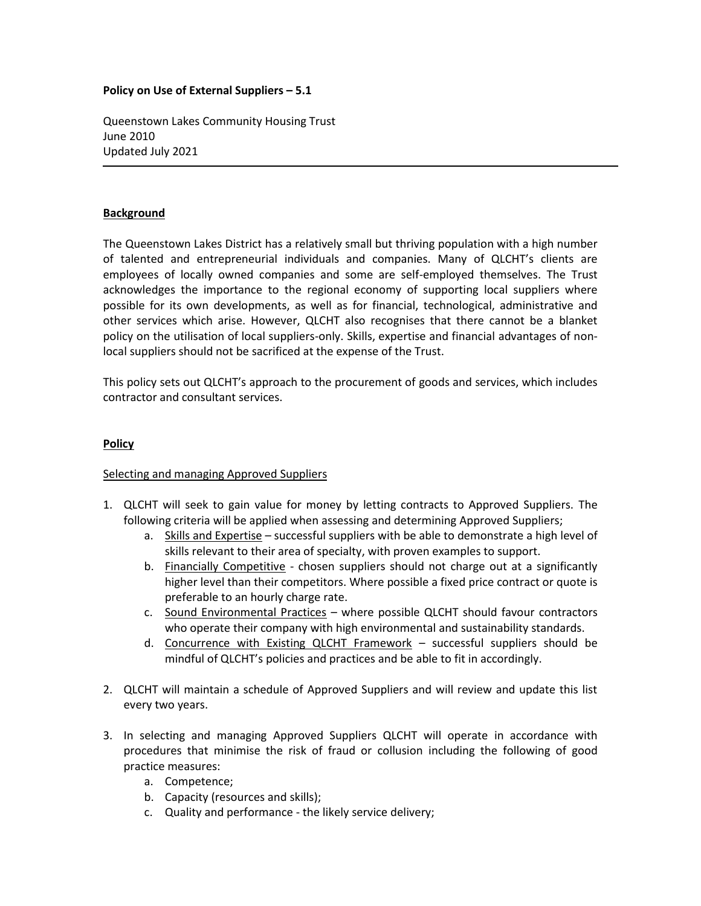# **Policy on Use of External Suppliers – 5.1**

Queenstown Lakes Community Housing Trust June 2010 Updated July 2021

### **Background**

The Queenstown Lakes District has a relatively small but thriving population with a high number of talented and entrepreneurial individuals and companies. Many of QLCHT's clients are employees of locally owned companies and some are self-employed themselves. The Trust acknowledges the importance to the regional economy of supporting local suppliers where possible for its own developments, as well as for financial, technological, administrative and other services which arise. However, QLCHT also recognises that there cannot be a blanket policy on the utilisation of local suppliers-only. Skills, expertise and financial advantages of nonlocal suppliers should not be sacrificed at the expense of the Trust.

This policy sets out QLCHT's approach to the procurement of goods and services, which includes contractor and consultant services.

#### **Policy**

# Selecting and managing Approved Suppliers

- 1. QLCHT will seek to gain value for money by letting contracts to Approved Suppliers. The following criteria will be applied when assessing and determining Approved Suppliers;
	- a. Skills and Expertise successful suppliers with be able to demonstrate a high level of skills relevant to their area of specialty, with proven examples to support.
	- b. Financially Competitive chosen suppliers should not charge out at a significantly higher level than their competitors. Where possible a fixed price contract or quote is preferable to an hourly charge rate.
	- c. Sound Environmental Practices where possible QLCHT should favour contractors who operate their company with high environmental and sustainability standards.
	- d. Concurrence with Existing QLCHT Framework successful suppliers should be mindful of QLCHT's policies and practices and be able to fit in accordingly.
- 2. QLCHT will maintain a schedule of Approved Suppliers and will review and update this list every two years.
- 3. In selecting and managing Approved Suppliers QLCHT will operate in accordance with procedures that minimise the risk of fraud or collusion including the following of good practice measures:
	- a. Competence;
	- b. Capacity (resources and skills);
	- c. Quality and performance the likely service delivery;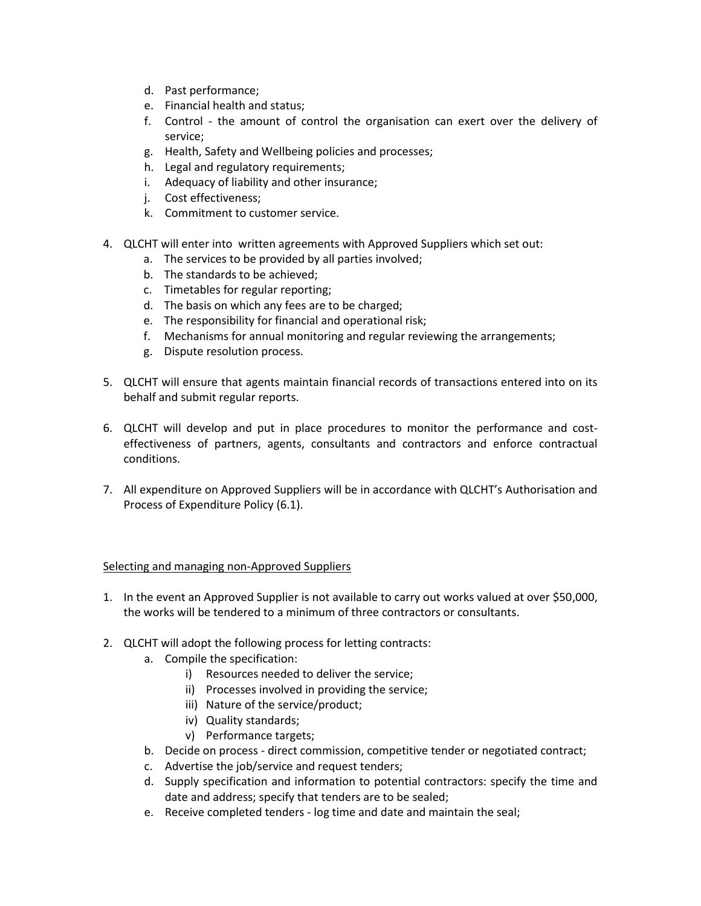- d. Past performance;
- e. Financial health and status;
- f. Control the amount of control the organisation can exert over the delivery of service;
- g. Health, Safety and Wellbeing policies and processes;
- h. Legal and regulatory requirements;
- i. Adequacy of liability and other insurance;
- j. Cost effectiveness;
- k. Commitment to customer service.
- 4. QLCHT will enter into written agreements with Approved Suppliers which set out:
	- a. The services to be provided by all parties involved;
	- b. The standards to be achieved;
	- c. Timetables for regular reporting;
	- d. The basis on which any fees are to be charged;
	- e. The responsibility for financial and operational risk;
	- f. Mechanisms for annual monitoring and regular reviewing the arrangements;
	- g. Dispute resolution process.
- 5. QLCHT will ensure that agents maintain financial records of transactions entered into on its behalf and submit regular reports.
- 6. QLCHT will develop and put in place procedures to monitor the performance and costeffectiveness of partners, agents, consultants and contractors and enforce contractual conditions.
- 7. All expenditure on Approved Suppliers will be in accordance with QLCHT's Authorisation and Process of Expenditure Policy (6.1).

# Selecting and managing non-Approved Suppliers

- 1. In the event an Approved Supplier is not available to carry out works valued at over \$50,000, the works will be tendered to a minimum of three contractors or consultants.
- 2. QLCHT will adopt the following process for letting contracts:
	- a. Compile the specification:
		- i) Resources needed to deliver the service;
		- ii) Processes involved in providing the service;
		- iii) Nature of the service/product;
		- iv) Quality standards;
		- v) Performance targets;
	- b. Decide on process direct commission, competitive tender or negotiated contract;
	- c. Advertise the job/service and request tenders;
	- d. Supply specification and information to potential contractors: specify the time and date and address; specify that tenders are to be sealed;
	- e. Receive completed tenders log time and date and maintain the seal;